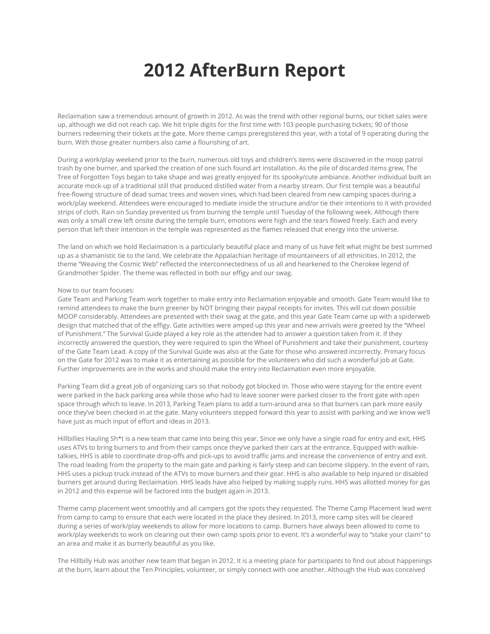## **2012 AfterBurn Report**

Reclaimation saw a tremendous amount of growth in 2012. As was the trend with other regional burns, our ticket sales were up, although we did not reach cap. We hit triple digits for the first time with 103 people purchasing tickets; 90 of those burners redeeming their tickets at the gate. More theme camps preregistered this year, with a total of 9 operating during the burn. With those greater numbers also came a flourishing of art.

During a work/play weekend prior to the burn, numerous old toys and children's items were discovered in the moop patrol trash by one burner, and sparked the creation of one such found art installation. As the pile of discarded items grew, The Tree of Forgotten Toys began to take shape and was greatly enjoyed for its spooky/cute ambiance. Another individual built an accurate mock-up of a traditional still that produced distilled water from a nearby stream. Our first temple was a beautiful free-flowing structure of dead sumac trees and woven vines, which had been cleared from new camping spaces during a work/play weekend. Attendees were encouraged to mediate inside the structure and/or tie their intentions to it with provided strips of cloth. Rain on Sunday prevented us from burning the temple until Tuesday of the following week. Although there was only a small crew left onsite during the temple burn, emotions were high and the tears flowed freely. Each and every person that left their intention in the temple was represented as the flames released that energy into the universe.

The land on which we hold Reclaimation is a particularly beautiful place and many of us have felt what might be best summed up as a shamanistic tie to the land. We celebrate the Appalachian heritage of mountaineers of all ethnicities. In 2012, the theme "Weaving the Cosmic Web" reflected the interconnectedness of us all and hearkened to the Cherokee legend of Grandmother Spider. The theme was reflected in both our effigy and our swag.

## Now to our team focuses:

Gate Team and Parking Team work together to make entry into Reclaimation enjoyable and smooth. Gate Team would like to remind attendees to make the burn greener by NOT bringing their paypal receipts for invites. This will cut down possible MOOP considerably. Attendees are presented with their swag at the gate, and this year Gate Team came up with a spiderweb design that matched that of the effigy. Gate activities were amped up this year and new arrivals were greeted by the "Wheel of Punishment." The Survival Guide played a key role as the attendee had to answer a question taken from it. If they incorrectly answered the question, they were required to spin the Wheel of Punishment and take their punishment, courtesy of the Gate Team Lead. A copy of the Survival Guide was also at the Gate for those who answered incorrectly. Primary focus on the Gate for 2012 was to make it as entertaining as possible for the volunteers who did such a wonderful job at Gate. Further improvements are in the works and should make the entry into Reclaimation even more enjoyable.

Parking Team did a great job of organizing cars so that nobody got blocked in. Those who were staying for the entire event were parked in the back parking area while those who had to leave sooner were parked closer to the front gate with open space through which to leave. In 2013, Parking Team plans to add a turn-around area so that burners can park more easily once they've been checked in at the gate. Many volunteers stepped forward this year to assist with parking and we know we'll have just as much input of effort and ideas in 2013.

Hillbillies Hauling Sh\*t is a new team that came into being this year. Since we only have a single road for entry and exit, HHS uses ATVs to bring burners to and from their camps once they've parked their cars at the entrance. Equipped with walkietalkies, HHS is able to coordinate drop-offs and pick-ups to avoid traffic jams and increase the convenience of entry and exit. The road leading from the property to the main gate and parking is fairly steep and can become slippery. In the event of rain, HHS uses a pickup truck instead of the ATVs to move burners and their gear. HHS is also available to help injured or disabled burners get around during Reclaimation. HHS leads have also helped by making supply runs. HHS was allotted money for gas in 2012 and this expense will be factored into the budget again in 2013.

Theme camp placement went smoothly and all campers got the spots they requested. The Theme Camp Placement lead went from camp to camp to ensure that each were located in the place they desired. In 2013, more camp sites will be cleared during a series of work/play weekends to allow for more locations to camp. Burners have always been allowed to come to work/play weekends to work on clearing out their own camp spots prior to event. It's a wonderful way to "stake your claim" to an area and make it as burnerly beautiful as you like.

The Hillbilly Hub was another new team that began in 2012. It is a meeting place for participants to find out about happenings at the burn, learn about the Ten Principles, volunteer, or simply connect with one another. Although the Hub was conceived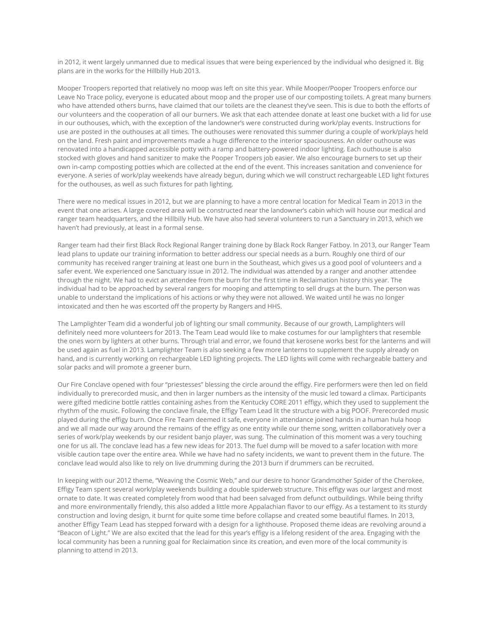in 2012, it went largely unmanned due to medical issues that were being experienced by the individual who designed it. Big plans are in the works for the Hillbilly Hub 2013.

Mooper Troopers reported that relatively no moop was left on site this year. While Mooper/Pooper Troopers enforce our Leave No Trace policy, everyone is educated about moop and the proper use of our composting toilets. A great many burners who have attended others burns, have claimed that our toilets are the cleanest they've seen. This is due to both the efforts of our volunteers and the cooperation of all our burners. We ask that each attendee donate at least one bucket with a lid for use in our outhouses, which, with the exception of the landowner's were constructed during work/play events. Instructions for use are posted in the outhouses at all times. The outhouses were renovated this summer during a couple of work/plays held on the land. Fresh paint and improvements made a huge difference to the interior spaciousness. An older outhouse was renovated into a handicapped accessible potty with a ramp and battery-powered indoor lighting. Each outhouse is also stocked with gloves and hand sanitizer to make the Pooper Troopers job easier. We also encourage burners to set up their own in-camp composting potties which are collected at the end of the event. This increases sanitation and convenience for everyone. A series of work/play weekends have already begun, during which we will construct rechargeable LED light fixtures for the outhouses, as well as such fixtures for path lighting.

There were no medical issues in 2012, but we are planning to have a more central location for Medical Team in 2013 in the event that one arises. A large covered area will be constructed near the landowner's cabin which will house our medical and ranger team headquarters, and the Hillbilly Hub. We have also had several volunteers to run a Sanctuary in 2013, which we haven't had previously, at least in a formal sense.

Ranger team had their first Black Rock Regional Ranger training done by Black Rock Ranger Fatboy. In 2013, our Ranger Team lead plans to update our training information to better address our special needs as a burn. Roughly one third of our community has received ranger training at least one burn in the Southeast, which gives us a good pool of volunteers and a safer event. We experienced one Sanctuary issue in 2012. The individual was attended by a ranger and another attendee through the night. We had to evict an attendee from the burn for the first time in Reclaimation history this year. The individual had to be approached by several rangers for mooping and attempting to sell drugs at the burn. The person was unable to understand the implications of his actions or why they were not allowed. We waited until he was no longer intoxicated and then he was escorted off the property by Rangers and HHS.

The Lamplighter Team did a wonderful job of lighting our small community. Because of our growth, Lamplighters will definitely need more volunteers for 2013. The Team Lead would like to make costumes for our lamplighters that resemble the ones worn by lighters at other burns. Through trial and error, we found that kerosene works best for the lanterns and will be used again as fuel in 2013. Lamplighter Team is also seeking a few more lanterns to supplement the supply already on hand, and is currently working on rechargeable LED lighting projects. The LED lights will come with rechargeable battery and solar packs and will promote a greener burn.

Our Fire Conclave opened with four "priestesses" blessing the circle around the effigy. Fire performers were then led on field individually to prerecorded music, and then in larger numbers as the intensity of the music led toward a climax. Participants were gifted medicine bottle rattles containing ashes from the Kentucky CORE 2011 effigy, which they used to supplement the rhythm of the music. Following the conclave finale, the Effigy Team Lead lit the structure with a big POOF. Prerecorded music played during the effigy burn. Once Fire Team deemed it safe, everyone in attendance joined hands in a human hula hoop and we all made our way around the remains of the effigy as one entity while our theme song, written collaboratively over a series of work/play weekends by our resident banjo player, was sung. The culmination of this moment was a very touching one for us all. The conclave lead has a few new ideas for 2013. The fuel dump will be moved to a safer location with more visible caution tape over the entire area. While we have had no safety incidents, we want to prevent them in the future. The conclave lead would also like to rely on live drumming during the 2013 burn if drummers can be recruited.

In keeping with our 2012 theme, "Weaving the Cosmic Web," and our desire to honor Grandmother Spider of the Cherokee, Effigy Team spent several work/play weekends building a double spiderweb structure. This effigy was our largest and most ornate to date. It was created completely from wood that had been salvaged from defunct outbuildings. While being thrifty and more environmentally friendly, this also added a little more Appalachian flavor to our effigy. As a testament to its sturdy construction and loving design, it burnt for quite some time before collapse and created some beautiful flames. In 2013, another Effigy Team Lead has stepped forward with a design for a lighthouse. Proposed theme ideas are revolving around a "Beacon of Light." We are also excited that the lead for this year's effigy is a lifelong resident of the area. Engaging with the local community has been a running goal for Reclaimation since its creation, and even more of the local community is planning to attend in 2013.